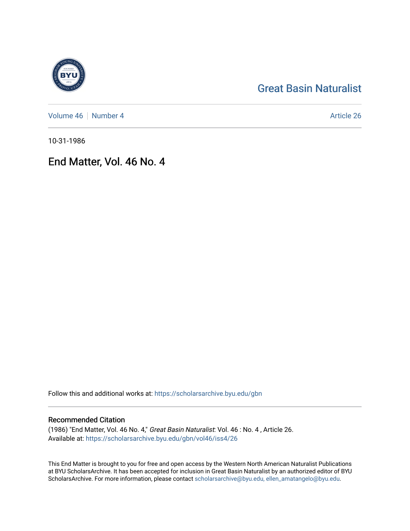# [Great Basin Naturalist](https://scholarsarchive.byu.edu/gbn)

[Volume 46](https://scholarsarchive.byu.edu/gbn/vol46) | [Number 4](https://scholarsarchive.byu.edu/gbn/vol46/iss4) Article 26

10-31-1986

## End Matter, Vol. 46 No. 4

Follow this and additional works at: [https://scholarsarchive.byu.edu/gbn](https://scholarsarchive.byu.edu/gbn?utm_source=scholarsarchive.byu.edu%2Fgbn%2Fvol46%2Fiss4%2F26&utm_medium=PDF&utm_campaign=PDFCoverPages) 

### Recommended Citation

(1986) "End Matter, Vol. 46 No. 4," Great Basin Naturalist: Vol. 46 : No. 4 , Article 26. Available at: [https://scholarsarchive.byu.edu/gbn/vol46/iss4/26](https://scholarsarchive.byu.edu/gbn/vol46/iss4/26?utm_source=scholarsarchive.byu.edu%2Fgbn%2Fvol46%2Fiss4%2F26&utm_medium=PDF&utm_campaign=PDFCoverPages) 

This End Matter is brought to you for free and open access by the Western North American Naturalist Publications at BYU ScholarsArchive. It has been accepted for inclusion in Great Basin Naturalist by an authorized editor of BYU ScholarsArchive. For more information, please contact [scholarsarchive@byu.edu, ellen\\_amatangelo@byu.edu.](mailto:scholarsarchive@byu.edu,%20ellen_amatangelo@byu.edu)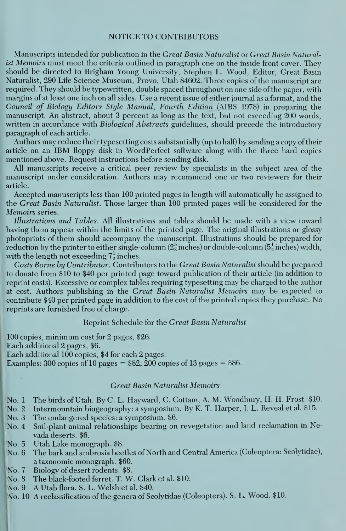#### NOTICE TO CONTRIBUTORS

Manuscripts intended for publication in the Great Basin Naturalist or Great Basin Naturalist Memoirs must meet the criteria outlined in paragraph one on the inside front cover. They should be directed to Brigham Young University, Stephen L. Wood, Editor, Great Basin Naturalist, 290 Life Science Museum, Provo, Utah 84602. Three copies of the manuscript are required. They should be typewritten, double spaced throughout on one side of the paper, with margins of at least one inch on all sides. Use a recent issue of either journal as a format, and the Council of Biology Editors Style Manual, Fourth Edition {AIBS 1978) in preparing the manuscript. An abstract, about 3 percent as long as the text, but not exceeding 200 words, written in accordance with *Biological Abstracts* guidelines, should precede the introductory paragraph of each article.

Authors may reduce their typesetting costs substantially (up to half) by sending a copy of their article on an IBM floppy disk in WordPerfect software along with the three hard copies mentioned above. Request instructions before sending disk.

All manuscripts receive a critical peer review by specialists in the subject area of the manuscript under consideration. Authors may recommend one or two reviewers for their article.

Accepted manuscripts less than 100 printed pages in length will automatically be assigned to the Great Basin Naturalist. Those larger than 100 printed pages will be considered for the Memoirs series.

Illustrations and Tables. All illustrations and tables should be made with a view toward having them appear within the limits of the printed page. The original illustrations or glossy photoprints of them should accompany the manuscript. Illustrations should be prepared for reduction by the printer to either single-column ( $2\frac{5}{3}$  inches) or double-column ( $5\frac{1}{9}$  inches) width, with the length not exceeding  $7\frac{1}{2}$  inches.

Costs Borne by Contributor. Contributors to the Great Basin Naturalist should be prepared to donate from \$10 to \$40 per printed page toward publication of their article (in addition to reprint costs). Excessive or complex tables requiring typesetting may be charged to the author at cost. Authors publishing in the Great Basin Naturalist Memoirs may be expected to contribute \$40 per printed page in addition to the cost of the printed copies they purchase. No reprints are furnished free of charge.

#### Reprint Schedule for the Great Basin Naturalist

100 copies, minimum cost for 2 pages, \$26.

Each additional 2 pages, \$6.

Each additional 100 copies, \$4 for each 2 pages.

Examples: 300 copies of 10 pages =  $$82$ ; 200 copies of 13 pages =  $$86$ .

#### Great Basin Naturalist Memoirs

No. <sup>1</sup> The birds of Utah. By C. L. Hayward, C. Cottam, A. M. Woodbury, H. H. Frost. \$10.

No. 2 Intermountain biogeography: a symposium. By K. T. Harper, J. L. Reveal et al. \$15.

- No. 3 The endangered species: a symposium. \$6.
- No. 4 Soil-plant-animal relationships bearing on revegetation and land reclamation in Nevada deserts. \$6.
- No. 5 Utah Lake monograph. \$8.
- No. 6 The bark and ambrosia beetles of North and Central America (Coleoptera: Scolytidae), a taxonomic monograph. \$60.
- No. 7 Biology of desert rodents. \$8.
- $\mathcal{N}_0$ , 8 The black-footed ferret. T. W. Clark et al. \$10.
- |\Mo. 9 A Utah flora. S. L. Welsh et al. \$40.
- No. 10 A reclassification of the genera of Scolytidae (Coleoptera). S. L. Wood. \$10.